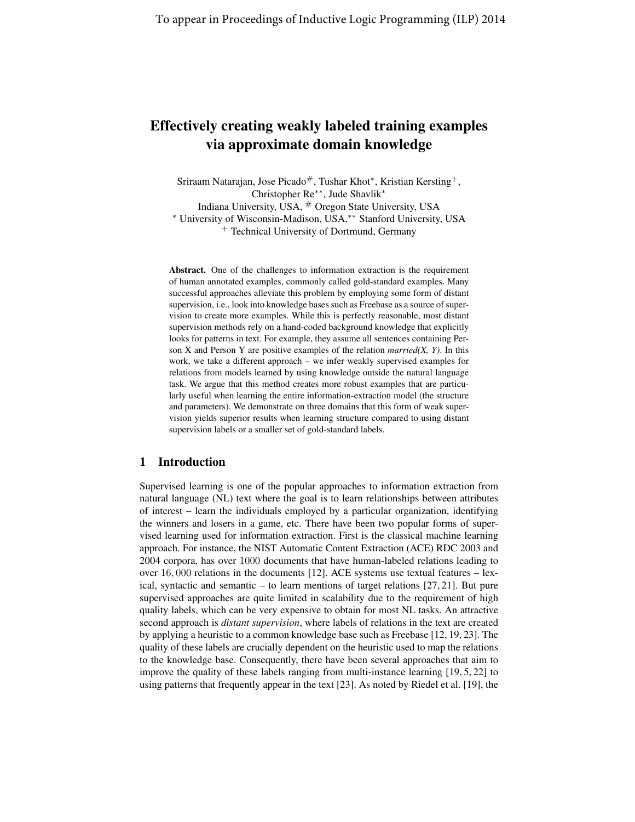# Effectively creating weakly labeled training examples via approximate domain knowledge

Sriraam Natarajan, Jose Picado<sup>#</sup>, Tushar Khot\*, Kristian Kersting<sup>+</sup>, Christopher Re∗∗, Jude Shavlik<sup>∗</sup> Indiana University, USA, # Oregon State University, USA <sup>∗</sup> University of Wisconsin-Madison, USA,∗∗ Stanford University, USA <sup>+</sup> Technical University of Dortmund, Germany

Abstract. One of the challenges to information extraction is the requirement of human annotated examples, commonly called gold-standard examples. Many successful approaches alleviate this problem by employing some form of distant supervision, i.e., look into knowledge bases such as Freebase as a source of supervision to create more examples. While this is perfectly reasonable, most distant supervision methods rely on a hand-coded background knowledge that explicitly looks for patterns in text. For example, they assume all sentences containing Person X and Person Y are positive examples of the relation *married(X, Y)*. In this work, we take a different approach – we infer weakly supervised examples for relations from models learned by using knowledge outside the natural language task. We argue that this method creates more robust examples that are particularly useful when learning the entire information-extraction model (the structure and parameters). We demonstrate on three domains that this form of weak supervision yields superior results when learning structure compared to using distant supervision labels or a smaller set of gold-standard labels.

## 1 Introduction

Supervised learning is one of the popular approaches to information extraction from natural language (NL) text where the goal is to learn relationships between attributes of interest – learn the individuals employed by a particular organization, identifying the winners and losers in a game, etc. There have been two popular forms of supervised learning used for information extraction. First is the classical machine learning approach. For instance, the NIST Automatic Content Extraction (ACE) RDC 2003 and 2004 corpora, has over 1000 documents that have human-labeled relations leading to over  $16,000$  relations in the documents [12]. ACE systems use textual features – lexical, syntactic and semantic – to learn mentions of target relations [27, 21]. But pure supervised approaches are quite limited in scalability due to the requirement of high quality labels, which can be very expensive to obtain for most NL tasks. An attractive second approach is *distant supervision*, where labels of relations in the text are created by applying a heuristic to a common knowledge base such as Freebase [12, 19, 23]. The quality of these labels are crucially dependent on the heuristic used to map the relations to the knowledge base. Consequently, there have been several approaches that aim to improve the quality of these labels ranging from multi-instance learning [19, 5, 22] to using patterns that frequently appear in the text [23]. As noted by Riedel et al. [19], the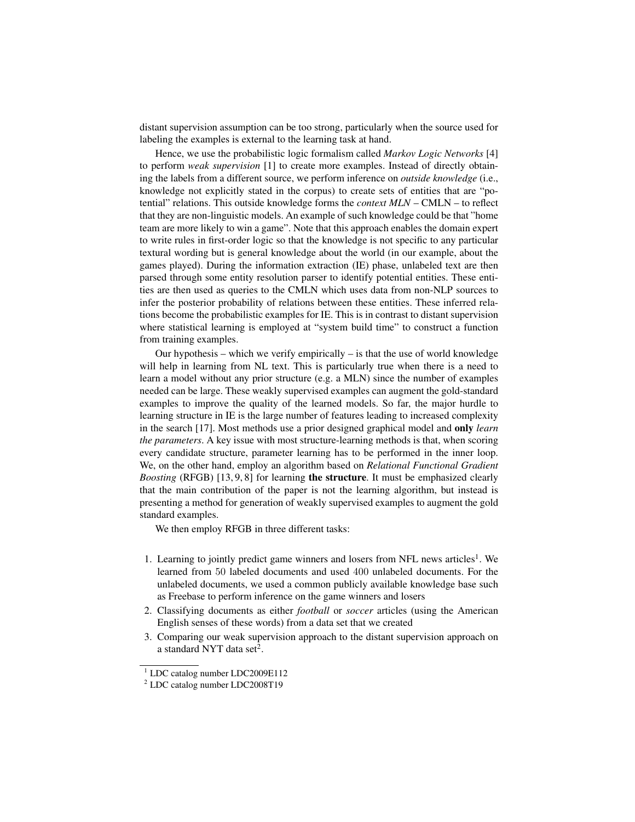distant supervision assumption can be too strong, particularly when the source used for labeling the examples is external to the learning task at hand.

Hence, we use the probabilistic logic formalism called *Markov Logic Networks* [4] to perform *weak supervision* [1] to create more examples. Instead of directly obtaining the labels from a different source, we perform inference on *outside knowledge* (i.e., knowledge not explicitly stated in the corpus) to create sets of entities that are "potential" relations. This outside knowledge forms the *context MLN* – CMLN – to reflect that they are non-linguistic models. An example of such knowledge could be that "home team are more likely to win a game". Note that this approach enables the domain expert to write rules in first-order logic so that the knowledge is not specific to any particular textural wording but is general knowledge about the world (in our example, about the games played). During the information extraction (IE) phase, unlabeled text are then parsed through some entity resolution parser to identify potential entities. These entities are then used as queries to the CMLN which uses data from non-NLP sources to infer the posterior probability of relations between these entities. These inferred relations become the probabilistic examples for IE. This is in contrast to distant supervision where statistical learning is employed at "system build time" to construct a function from training examples.

Our hypothesis – which we verify empirically – is that the use of world knowledge will help in learning from NL text. This is particularly true when there is a need to learn a model without any prior structure (e.g. a MLN) since the number of examples needed can be large. These weakly supervised examples can augment the gold-standard examples to improve the quality of the learned models. So far, the major hurdle to learning structure in IE is the large number of features leading to increased complexity in the search [17]. Most methods use a prior designed graphical model and only *learn the parameters*. A key issue with most structure-learning methods is that, when scoring every candidate structure, parameter learning has to be performed in the inner loop. We, on the other hand, employ an algorithm based on *Relational Functional Gradient Boosting* (RFGB) [13, 9, 8] for learning the structure. It must be emphasized clearly that the main contribution of the paper is not the learning algorithm, but instead is presenting a method for generation of weakly supervised examples to augment the gold standard examples.

We then employ RFGB in three different tasks:

- 1. Learning to jointly predict game winners and losers from NFL news articles<sup>1</sup>. We learned from 50 labeled documents and used 400 unlabeled documents. For the unlabeled documents, we used a common publicly available knowledge base such as Freebase to perform inference on the game winners and losers
- 2. Classifying documents as either *football* or *soccer* articles (using the American English senses of these words) from a data set that we created
- 3. Comparing our weak supervision approach to the distant supervision approach on a standard NYT data set $^2$ .

<sup>&</sup>lt;sup>1</sup> LDC catalog number LDC2009E112

<sup>2</sup> LDC catalog number LDC2008T19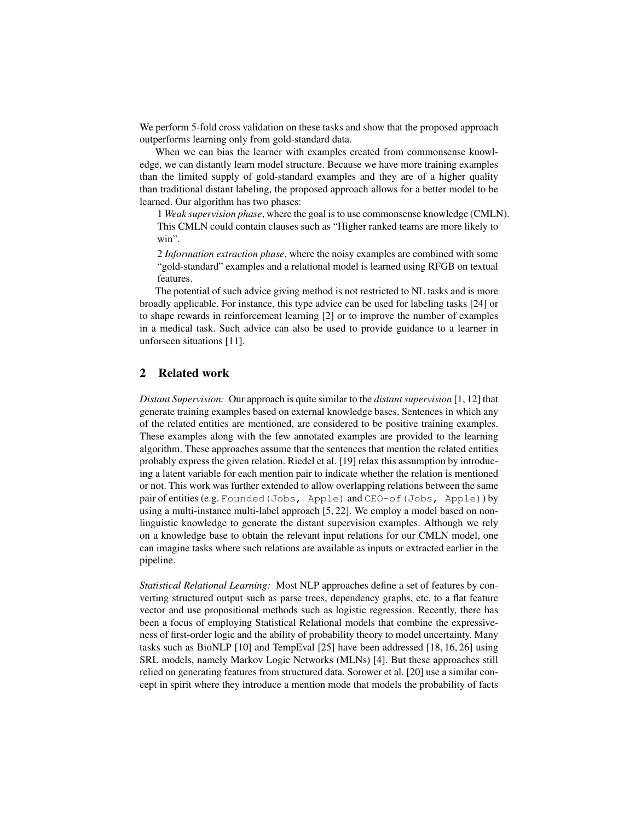We perform 5-fold cross validation on these tasks and show that the proposed approach outperforms learning only from gold-standard data.

When we can bias the learner with examples created from commonsense knowledge, we can distantly learn model structure. Because we have more training examples than the limited supply of gold-standard examples and they are of a higher quality than traditional distant labeling, the proposed approach allows for a better model to be learned. Our algorithm has two phases:

1 *Weak supervision phase*, where the goal is to use commonsense knowledge (CMLN). This CMLN could contain clauses such as "Higher ranked teams are more likely to win".

2 *Information extraction phase*, where the noisy examples are combined with some "gold-standard" examples and a relational model is learned using RFGB on textual features.

The potential of such advice giving method is not restricted to NL tasks and is more broadly applicable. For instance, this type advice can be used for labeling tasks [24] or to shape rewards in reinforcement learning [2] or to improve the number of examples in a medical task. Such advice can also be used to provide guidance to a learner in unforseen situations [11].

## 2 Related work

*Distant Supervision:* Our approach is quite similar to the *distant supervision* [1, 12] that generate training examples based on external knowledge bases. Sentences in which any of the related entities are mentioned, are considered to be positive training examples. These examples along with the few annotated examples are provided to the learning algorithm. These approaches assume that the sentences that mention the related entities probably express the given relation. Riedel et al. [19] relax this assumption by introducing a latent variable for each mention pair to indicate whether the relation is mentioned or not. This work was further extended to allow overlapping relations between the same pair of entities (e.g. Founded(Jobs, Apple) and CEO-of(Jobs, Apple)) by using a multi-instance multi-label approach [5, 22]. We employ a model based on nonlinguistic knowledge to generate the distant supervision examples. Although we rely on a knowledge base to obtain the relevant input relations for our CMLN model, one can imagine tasks where such relations are available as inputs or extracted earlier in the pipeline.

*Statistical Relational Learning:* Most NLP approaches define a set of features by converting structured output such as parse trees, dependency graphs, etc. to a flat feature vector and use propositional methods such as logistic regression. Recently, there has been a focus of employing Statistical Relational models that combine the expressiveness of first-order logic and the ability of probability theory to model uncertainty. Many tasks such as BioNLP [10] and TempEval [25] have been addressed [18, 16, 26] using SRL models, namely Markov Logic Networks (MLNs) [4]. But these approaches still relied on generating features from structured data. Sorower et al. [20] use a similar concept in spirit where they introduce a mention mode that models the probability of facts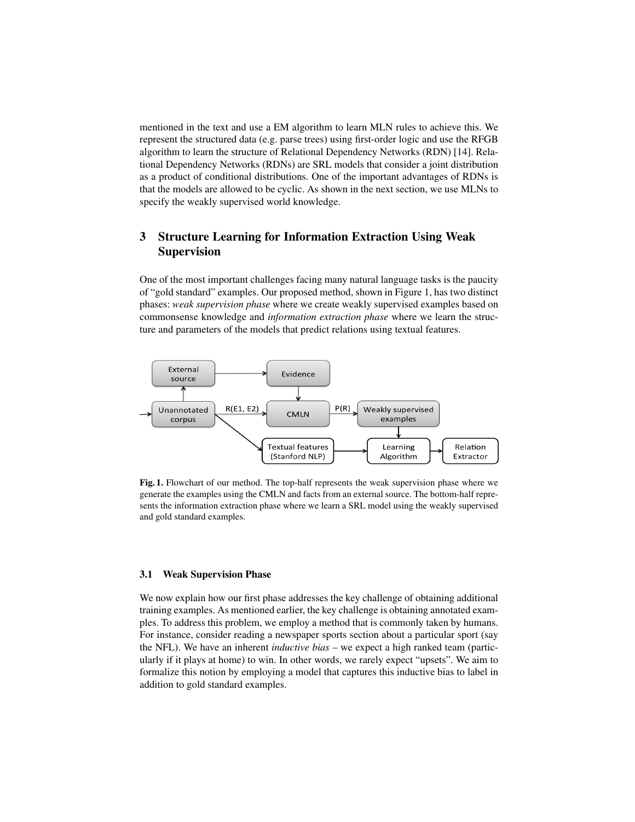mentioned in the text and use a EM algorithm to learn MLN rules to achieve this. We represent the structured data (e.g. parse trees) using first-order logic and use the RFGB algorithm to learn the structure of Relational Dependency Networks (RDN) [14]. Relational Dependency Networks (RDNs) are SRL models that consider a joint distribution as a product of conditional distributions. One of the important advantages of RDNs is that the models are allowed to be cyclic. As shown in the next section, we use MLNs to specify the weakly supervised world knowledge.

## 3 Structure Learning for Information Extraction Using Weak Supervision

One of the most important challenges facing many natural language tasks is the paucity of "gold standard" examples. Our proposed method, shown in Figure 1, has two distinct phases: *weak supervision phase* where we create weakly supervised examples based on commonsense knowledge and *information extraction phase* where we learn the structure and parameters of the models that predict relations using textual features.



Fig. 1. Flowchart of our method. The top-half represents the weak supervision phase where we generate the examples using the CMLN and facts from an external source. The bottom-half represents the information extraction phase where we learn a SRL model using the weakly supervised and gold standard examples.

#### 3.1 Weak Supervision Phase

We now explain how our first phase addresses the key challenge of obtaining additional training examples. As mentioned earlier, the key challenge is obtaining annotated examples. To address this problem, we employ a method that is commonly taken by humans. For instance, consider reading a newspaper sports section about a particular sport (say the NFL). We have an inherent *inductive bias* – we expect a high ranked team (particularly if it plays at home) to win. In other words, we rarely expect "upsets". We aim to formalize this notion by employing a model that captures this inductive bias to label in addition to gold standard examples.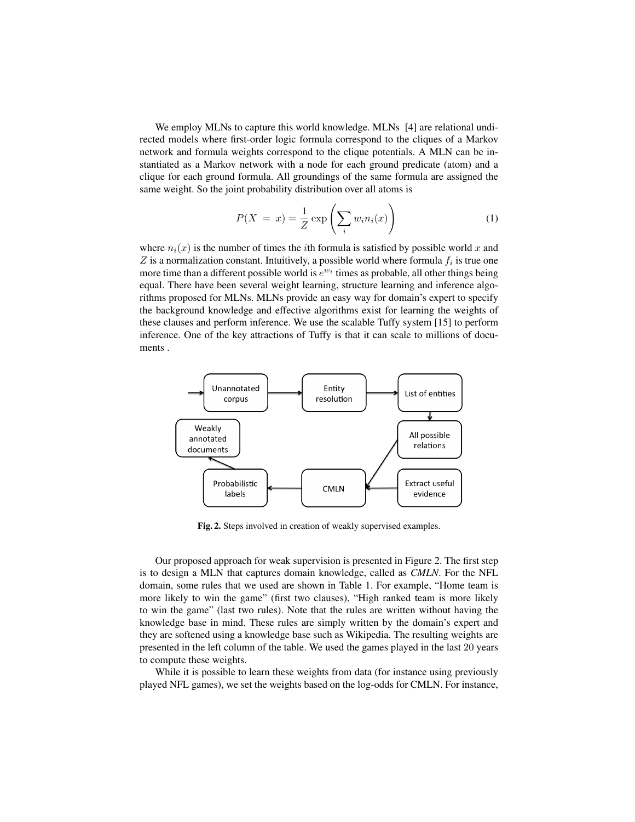We employ MLNs to capture this world knowledge. MLNs [4] are relational undirected models where first-order logic formula correspond to the cliques of a Markov network and formula weights correspond to the clique potentials. A MLN can be instantiated as a Markov network with a node for each ground predicate (atom) and a clique for each ground formula. All groundings of the same formula are assigned the same weight. So the joint probability distribution over all atoms is

$$
P(X = x) = \frac{1}{Z} \exp\left(\sum_{i} w_i n_i(x)\right)
$$
 (1)

where  $n_i(x)$  is the number of times the *i*th formula is satisfied by possible world x and Z is a normalization constant. Intuitively, a possible world where formula  $f_i$  is true one more time than a different possible world is  $e^{w_i}$  times as probable, all other things being equal. There have been several weight learning, structure learning and inference algorithms proposed for MLNs. MLNs provide an easy way for domain's expert to specify the background knowledge and effective algorithms exist for learning the weights of these clauses and perform inference. We use the scalable Tuffy system [15] to perform inference. One of the key attractions of Tuffy is that it can scale to millions of documents .



Fig. 2. Steps involved in creation of weakly supervised examples.

Our proposed approach for weak supervision is presented in Figure 2. The first step is to design a MLN that captures domain knowledge, called as *CMLN*. For the NFL domain, some rules that we used are shown in Table 1. For example, "Home team is more likely to win the game" (first two clauses), "High ranked team is more likely to win the game" (last two rules). Note that the rules are written without having the knowledge base in mind. These rules are simply written by the domain's expert and they are softened using a knowledge base such as Wikipedia. The resulting weights are presented in the left column of the table. We used the games played in the last 20 years to compute these weights.

While it is possible to learn these weights from data (for instance using previously played NFL games), we set the weights based on the log-odds for CMLN. For instance,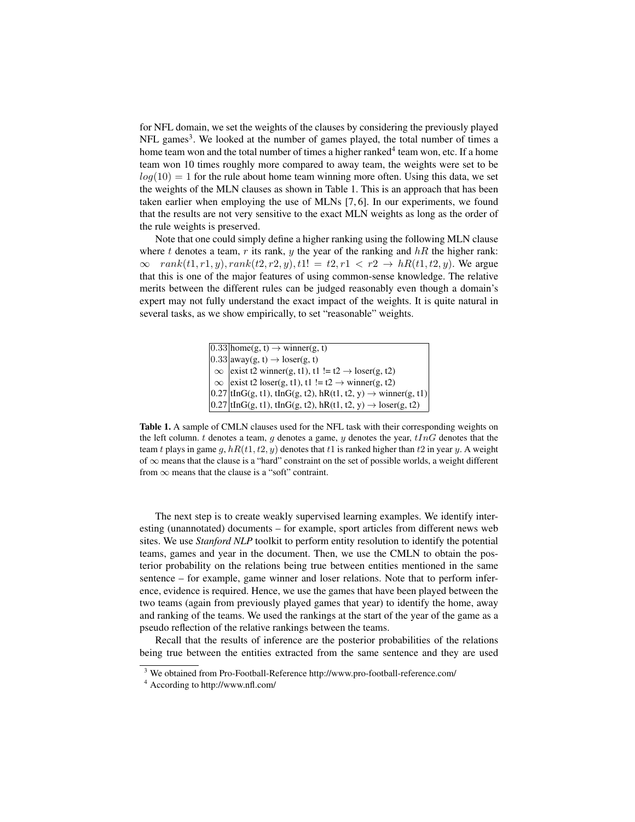for NFL domain, we set the weights of the clauses by considering the previously played NFL games<sup>3</sup>. We looked at the number of games played, the total number of times a home team won and the total number of times a higher ranked<sup>4</sup> team won, etc. If a home team won 10 times roughly more compared to away team, the weights were set to be  $log(10) = 1$  for the rule about home team winning more often. Using this data, we set the weights of the MLN clauses as shown in Table 1. This is an approach that has been taken earlier when employing the use of MLNs [7, 6]. In our experiments, we found that the results are not very sensitive to the exact MLN weights as long as the order of the rule weights is preserved.

Note that one could simply define a higher ranking using the following MLN clause where t denotes a team, r its rank, y the year of the ranking and  $hR$  the higher rank:  $\infty$  rank(t1, r1, y), rank(t2, r2, y), t1! = t2, r1 < r2  $\rightarrow$  hR(t1, t2, y). We argue that this is one of the major features of using common-sense knowledge. The relative merits between the different rules can be judged reasonably even though a domain's expert may not fully understand the exact impact of the weights. It is quite natural in several tasks, as we show empirically, to set "reasonable" weights.

```
[0.33]home(g, t) \rightarrow winner(g, t)
0.33 away(g, t) \rightarrow loser(g, t)
 \infty exist t2 winner(g, t1), t1 != t2 \rightarrow loser(g, t2)
 \infty exist t2 loser(g, t1), t1 != t2 \rightarrow winner(g, t2)
0.27 tInG(g, t1), tInG(g, t2), hR(t1, t2, y) \rightarrow winner(g, t1)
|0.27|tInG(g, t1), tInG(g, t2), hR(t1, t2, y) \rightarrow loser(g, t2)
```
Table 1. A sample of CMLN clauses used for the NFL task with their corresponding weights on the left column. t denotes a team, g denotes a game, y denotes the year,  $tInG$  denotes that the team t plays in game g,  $hR(t1, t2, y)$  denotes that t1 is ranked higher than t2 in year y. A weight of  $\infty$  means that the clause is a "hard" constraint on the set of possible worlds, a weight different from  $\infty$  means that the clause is a "soft" contraint.

The next step is to create weakly supervised learning examples. We identify interesting (unannotated) documents – for example, sport articles from different news web sites. We use *Stanford NLP* toolkit to perform entity resolution to identify the potential teams, games and year in the document. Then, we use the CMLN to obtain the posterior probability on the relations being true between entities mentioned in the same sentence – for example, game winner and loser relations. Note that to perform inference, evidence is required. Hence, we use the games that have been played between the two teams (again from previously played games that year) to identify the home, away and ranking of the teams. We used the rankings at the start of the year of the game as a pseudo reflection of the relative rankings between the teams.

Recall that the results of inference are the posterior probabilities of the relations being true between the entities extracted from the same sentence and they are used

<sup>3</sup> We obtained from Pro-Football-Reference http://www.pro-football-reference.com/

<sup>4</sup> According to http://www.nfl.com/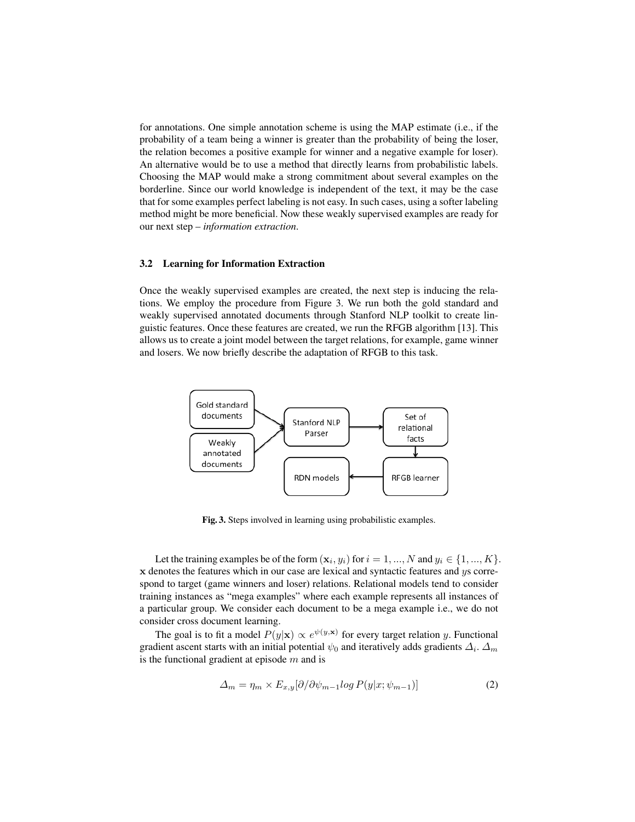for annotations. One simple annotation scheme is using the MAP estimate (i.e., if the probability of a team being a winner is greater than the probability of being the loser, the relation becomes a positive example for winner and a negative example for loser). An alternative would be to use a method that directly learns from probabilistic labels. Choosing the MAP would make a strong commitment about several examples on the borderline. Since our world knowledge is independent of the text, it may be the case that for some examples perfect labeling is not easy. In such cases, using a softer labeling method might be more beneficial. Now these weakly supervised examples are ready for our next step – *information extraction*.

#### 3.2 Learning for Information Extraction

Once the weakly supervised examples are created, the next step is inducing the relations. We employ the procedure from Figure 3. We run both the gold standard and weakly supervised annotated documents through Stanford NLP toolkit to create linguistic features. Once these features are created, we run the RFGB algorithm [13]. This allows us to create a joint model between the target relations, for example, game winner and losers. We now briefly describe the adaptation of RFGB to this task.



Fig. 3. Steps involved in learning using probabilistic examples.

Let the training examples be of the form  $(\mathbf{x}_i, y_i)$  for  $i = 1, ..., N$  and  $y_i \in \{1, ..., K\}$ . x denotes the features which in our case are lexical and syntactic features and ys correspond to target (game winners and loser) relations. Relational models tend to consider training instances as "mega examples" where each example represents all instances of a particular group. We consider each document to be a mega example i.e., we do not consider cross document learning.

The goal is to fit a model  $P(y|\mathbf{x}) \propto e^{\psi(y,\mathbf{x})}$  for every target relation y. Functional gradient ascent starts with an initial potential  $\psi_0$  and iteratively adds gradients  $\varDelta_i$ .  $\varDelta_m$ is the functional gradient at episode  $m$  and is

$$
\Delta_m = \eta_m \times E_{x,y} [\partial/\partial \psi_{m-1} \log P(y|x; \psi_{m-1})] \tag{2}
$$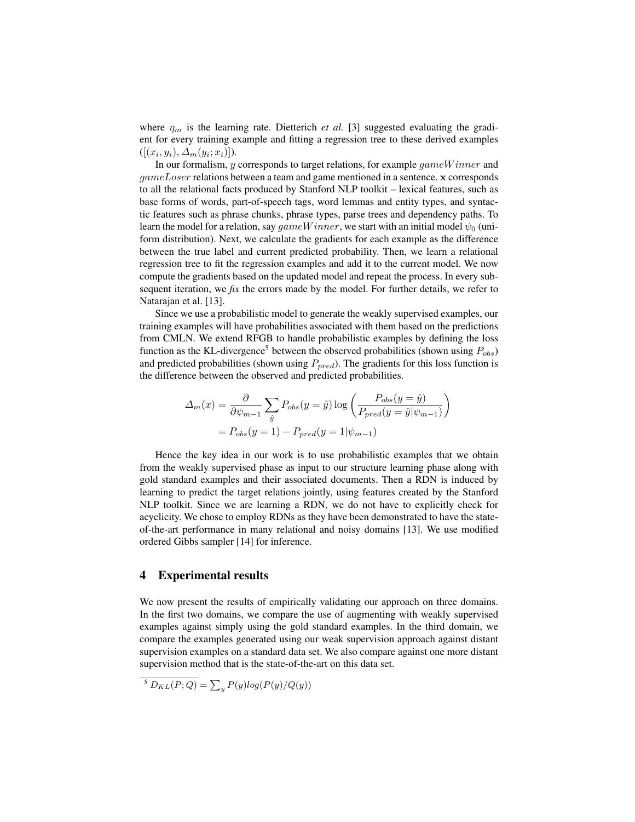where  $\eta_m$  is the learning rate. Dietterich *et al.* [3] suggested evaluating the gradient for every training example and fitting a regression tree to these derived examples  $([ (x_i, y_i), \Delta_m(y_i; x_i)] ).$ 

In our formalism, y corresponds to target relations, for example gameW inner and gameLoser relations between a team and game mentioned in a sentence. x corresponds to all the relational facts produced by Stanford NLP toolkit – lexical features, such as base forms of words, part-of-speech tags, word lemmas and entity types, and syntactic features such as phrase chunks, phrase types, parse trees and dependency paths. To learn the model for a relation, say  $gameWinner$ , we start with an initial model  $\psi_0$  (uniform distribution). Next, we calculate the gradients for each example as the difference between the true label and current predicted probability. Then, we learn a relational regression tree to fit the regression examples and add it to the current model. We now compute the gradients based on the updated model and repeat the process. In every subsequent iteration, we *fix* the errors made by the model. For further details, we refer to Natarajan et al. [13].

Since we use a probabilistic model to generate the weakly supervised examples, our training examples will have probabilities associated with them based on the predictions from CMLN. We extend RFGB to handle probabilistic examples by defining the loss function as the KL-divergence<sup>5</sup> between the observed probabilities (shown using  $P_{obs}$ ) and predicted probabilities (shown using  $P_{pred}$ ). The gradients for this loss function is the difference between the observed and predicted probabilities.

$$
\Delta_m(x) = \frac{\partial}{\partial \psi_{m-1}} \sum_{\hat{y}} P_{obs}(y = \hat{y}) \log \left( \frac{P_{obs}(y = \hat{y})}{P_{pred}(y = \hat{y}|\psi_{m-1})} \right)
$$

$$
= P_{obs}(y = 1) - P_{pred}(y = 1|\psi_{m-1})
$$

Hence the key idea in our work is to use probabilistic examples that we obtain from the weakly supervised phase as input to our structure learning phase along with gold standard examples and their associated documents. Then a RDN is induced by learning to predict the target relations jointly, using features created by the Stanford NLP toolkit. Since we are learning a RDN, we do not have to explicitly check for acyclicity. We chose to employ RDNs as they have been demonstrated to have the stateof-the-art performance in many relational and noisy domains [13]. We use modified ordered Gibbs sampler [14] for inference.

#### 4 Experimental results

We now present the results of empirically validating our approach on three domains. In the first two domains, we compare the use of augmenting with weakly supervised examples against simply using the gold standard examples. In the third domain, we compare the examples generated using our weak supervision approach against distant supervision examples on a standard data set. We also compare against one more distant supervision method that is the state-of-the-art on this data set.

<sup>&</sup>lt;sup>5</sup>  $D_{KL}(P; Q) = \sum_{y} P(y) log(P(y)/Q(y))$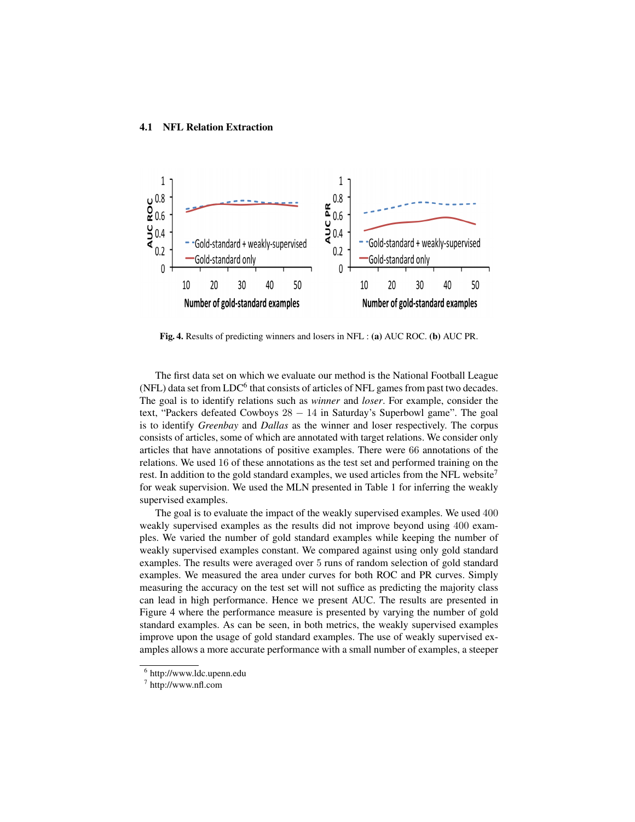#### 4.1 NFL Relation Extraction



Fig. 4. Results of predicting winners and losers in NFL : (a) AUC ROC. (b) AUC PR.

The first data set on which we evaluate our method is the National Football League (NFL) data set from  $LDC<sup>6</sup>$  that consists of articles of NFL games from past two decades. The goal is to identify relations such as *winner* and *loser*. For example, consider the text, "Packers defeated Cowboys  $28 - 14$  in Saturday's Superbowl game". The goal is to identify *Greenbay* and *Dallas* as the winner and loser respectively. The corpus consists of articles, some of which are annotated with target relations. We consider only articles that have annotations of positive examples. There were 66 annotations of the relations. We used 16 of these annotations as the test set and performed training on the rest. In addition to the gold standard examples, we used articles from the NFL website<sup>7</sup> for weak supervision. We used the MLN presented in Table 1 for inferring the weakly supervised examples.

The goal is to evaluate the impact of the weakly supervised examples. We used 400 weakly supervised examples as the results did not improve beyond using 400 examples. We varied the number of gold standard examples while keeping the number of weakly supervised examples constant. We compared against using only gold standard examples. The results were averaged over 5 runs of random selection of gold standard examples. We measured the area under curves for both ROC and PR curves. Simply measuring the accuracy on the test set will not suffice as predicting the majority class can lead in high performance. Hence we present AUC. The results are presented in Figure 4 where the performance measure is presented by varying the number of gold standard examples. As can be seen, in both metrics, the weakly supervised examples improve upon the usage of gold standard examples. The use of weakly supervised examples allows a more accurate performance with a small number of examples, a steeper

<sup>6</sup> http://www.ldc.upenn.edu

<sup>7</sup> http://www.nfl.com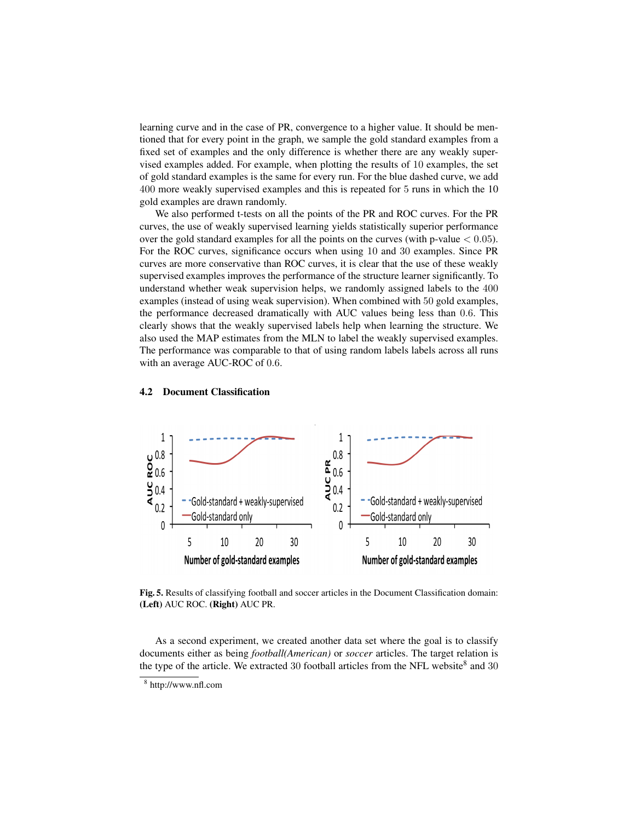learning curve and in the case of PR, convergence to a higher value. It should be mentioned that for every point in the graph, we sample the gold standard examples from a fixed set of examples and the only difference is whether there are any weakly supervised examples added. For example, when plotting the results of 10 examples, the set of gold standard examples is the same for every run. For the blue dashed curve, we add 400 more weakly supervised examples and this is repeated for 5 runs in which the 10 gold examples are drawn randomly.

We also performed t-tests on all the points of the PR and ROC curves. For the PR curves, the use of weakly supervised learning yields statistically superior performance over the gold standard examples for all the points on the curves (with p-value  $< 0.05$ ). For the ROC curves, significance occurs when using 10 and 30 examples. Since PR curves are more conservative than ROC curves, it is clear that the use of these weakly supervised examples improves the performance of the structure learner significantly. To understand whether weak supervision helps, we randomly assigned labels to the 400 examples (instead of using weak supervision). When combined with 50 gold examples, the performance decreased dramatically with AUC values being less than 0.6. This clearly shows that the weakly supervised labels help when learning the structure. We also used the MAP estimates from the MLN to label the weakly supervised examples. The performance was comparable to that of using random labels labels across all runs with an average AUC-ROC of 0.6.

#### 4.2 Document Classification



Fig. 5. Results of classifying football and soccer articles in the Document Classification domain: (Left) AUC ROC. (Right) AUC PR.

As a second experiment, we created another data set where the goal is to classify documents either as being *football(American)* or *soccer* articles. The target relation is the type of the article. We extracted 30 football articles from the NFL website<sup>8</sup> and 30

<sup>8</sup> http://www.nfl.com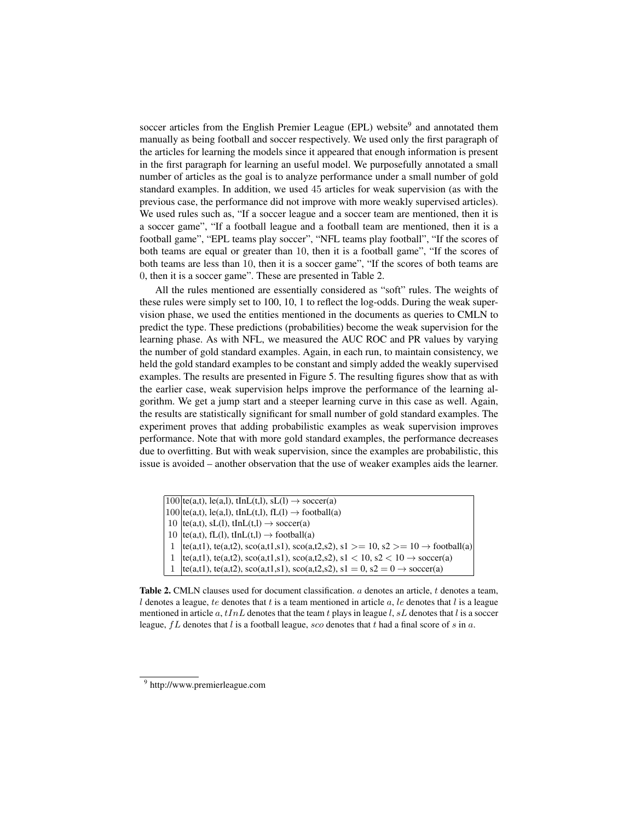soccer articles from the English Premier League (EPL) website<sup>9</sup> and annotated them manually as being football and soccer respectively. We used only the first paragraph of the articles for learning the models since it appeared that enough information is present in the first paragraph for learning an useful model. We purposefully annotated a small number of articles as the goal is to analyze performance under a small number of gold standard examples. In addition, we used 45 articles for weak supervision (as with the previous case, the performance did not improve with more weakly supervised articles). We used rules such as, "If a soccer league and a soccer team are mentioned, then it is a soccer game", "If a football league and a football team are mentioned, then it is a football game", "EPL teams play soccer", "NFL teams play football", "If the scores of both teams are equal or greater than 10, then it is a football game", "If the scores of both teams are less than 10, then it is a soccer game", "If the scores of both teams are 0, then it is a soccer game". These are presented in Table 2.

All the rules mentioned are essentially considered as "soft" rules. The weights of these rules were simply set to 100, 10, 1 to reflect the log-odds. During the weak supervision phase, we used the entities mentioned in the documents as queries to CMLN to predict the type. These predictions (probabilities) become the weak supervision for the learning phase. As with NFL, we measured the AUC ROC and PR values by varying the number of gold standard examples. Again, in each run, to maintain consistency, we held the gold standard examples to be constant and simply added the weakly supervised examples. The results are presented in Figure 5. The resulting figures show that as with the earlier case, weak supervision helps improve the performance of the learning algorithm. We get a jump start and a steeper learning curve in this case as well. Again, the results are statistically significant for small number of gold standard examples. The experiment proves that adding probabilistic examples as weak supervision improves performance. Note that with more gold standard examples, the performance decreases due to overfitting. But with weak supervision, since the examples are probabilistic, this issue is avoided – another observation that the use of weaker examples aids the learner.

| $100$  te(a,t), le(a,l), tInL(t,l), sL(l) $\rightarrow$ soccer(a)                               |  |
|-------------------------------------------------------------------------------------------------|--|
| $100$  te(a,t), le(a,l), tInL(t,l), fL(l) $\rightarrow$ football(a)                             |  |
| 10  te(a,t), sL(l), tInL(t,l) $\rightarrow$ soccer(a)                                           |  |
| 10  te(a,t), fL(l), tInL(t,l) $\rightarrow$ football(a)                                         |  |
| 1  te(a,t1), te(a,t2), sco(a,t1,s1), sco(a,t2,s2), s1 >= 10, s2 >= 10 $\rightarrow$ football(a) |  |
| 1  te(a,t1), te(a,t2), sco(a,t1,s1), sco(a,t2,s2), s1 < 10, s2 < 10 $\rightarrow$ soccer(a)     |  |
| 1  te(a,t1), te(a,t2), sco(a,t1,s1), sco(a,t2,s2), s1 = 0, s2 = 0 $\rightarrow$ soccer(a)       |  |

Table 2. CMLN clauses used for document classification. a denotes an article, t denotes a team, l denotes a league, te denotes that t is a team mentioned in article a, le denotes that l is a league mentioned in article a,  $tInL$  denotes that the team t plays in league l, sL denotes that l is a soccer league,  $fL$  denotes that l is a football league, sco denotes that t had a final score of s in a.

<sup>9</sup> http://www.premierleague.com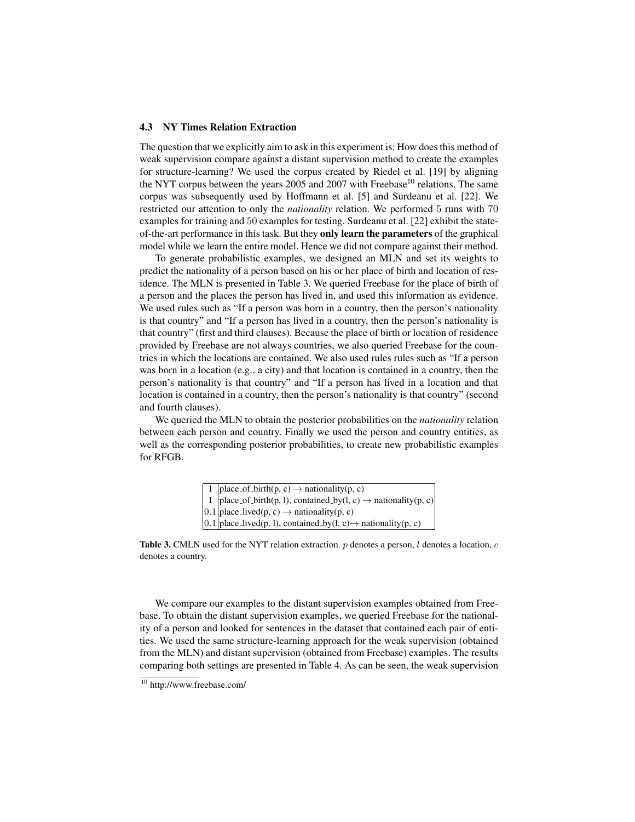#### 4.3 NY Times Relation Extraction

The question that we explicitly aim to ask in this experiment is: How does this method of weak supervision compare against a distant supervision method to create the examples for structure-learning? We used the corpus created by Riedel et al. [19] by aligning the NYT corpus between the years 2005 and 2007 with Freebase<sup>10</sup> relations. The same corpus was subsequently used by Hoffmann et al. [5] and Surdeanu et al. [22]. We restricted our attention to only the *nationality* relation. We performed 5 runs with 70 examples for training and 50 examples for testing. Surdeanu et al. [22] exhibit the stateof-the-art performance in this task. But they only learn the parameters of the graphical model while we learn the entire model. Hence we did not compare against their method.

To generate probabilistic examples, we designed an MLN and set its weights to predict the nationality of a person based on his or her place of birth and location of residence. The MLN is presented in Table 3. We queried Freebase for the place of birth of a person and the places the person has lived in, and used this information as evidence. We used rules such as "If a person was born in a country, then the person's nationality is that country" and "If a person has lived in a country, then the person's nationality is that country" (first and third clauses). Because the place of birth or location of residence provided by Freebase are not always countries, we also queried Freebase for the countries in which the locations are contained. We also used rules rules such as "If a person was born in a location (e.g., a city) and that location is contained in a country, then the person's nationality is that country" and "If a person has lived in a location and that location is contained in a country, then the person's nationality is that country" (second and fourth clauses).

We queried the MLN to obtain the posterior probabilities on the *nationality* relation between each person and country. Finally we used the person and country entities, as well as the corresponding posterior probabilities, to create new probabilistic examples for RFGB.

```
1 | place_of_birth(p, c) \rightarrow nationality(p, c)
 1 | place_of_birth(p, l), contained_by(l, c) \rightarrow nationality(p, c)
|0.1| place lived(p, c) \rightarrow nationality(p, c)
[0.1] place lived(p, l), contained by(l, c) \rightarrow nationality(p, c)
```
**Table 3.** CMLN used for the NYT relation extraction. p denotes a person, l denotes a location, c denotes a country.

We compare our examples to the distant supervision examples obtained from Freebase. To obtain the distant supervision examples, we queried Freebase for the nationality of a person and looked for sentences in the dataset that contained each pair of entities. We used the same structure-learning approach for the weak supervision (obtained from the MLN) and distant supervision (obtained from Freebase) examples. The results comparing both settings are presented in Table 4. As can be seen, the weak supervision

<sup>10</sup> http://www.freebase.com/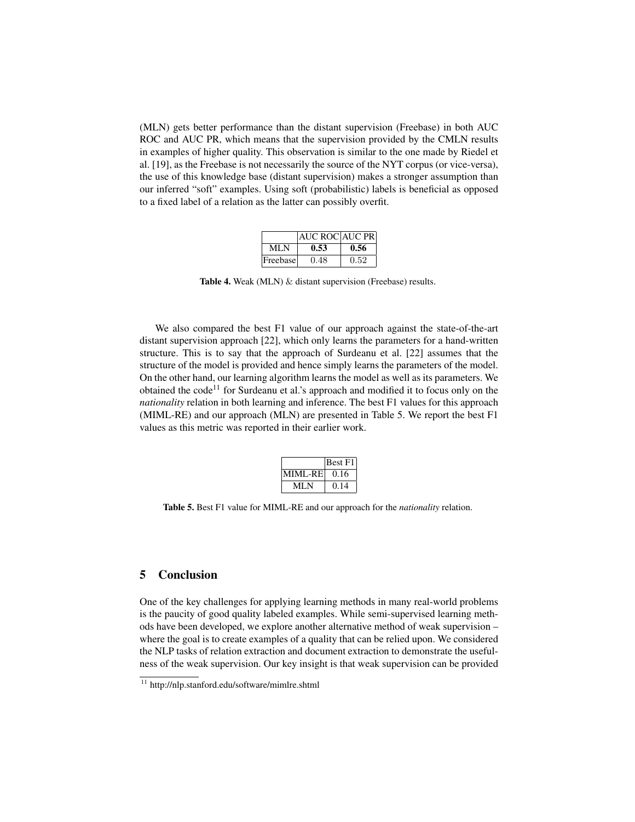(MLN) gets better performance than the distant supervision (Freebase) in both AUC ROC and AUC PR, which means that the supervision provided by the CMLN results in examples of higher quality. This observation is similar to the one made by Riedel et al. [19], as the Freebase is not necessarily the source of the NYT corpus (or vice-versa), the use of this knowledge base (distant supervision) makes a stronger assumption than our inferred "soft" examples. Using soft (probabilistic) labels is beneficial as opposed to a fixed label of a relation as the latter can possibly overfit.

|          | <b>AUC ROC AUC PR</b> |      |
|----------|-----------------------|------|
| MLN      | 0.53                  | 0.56 |
| Freebase | 0.48                  | 0.52 |

Table 4. Weak (MLN) & distant supervision (Freebase) results.

We also compared the best F1 value of our approach against the state-of-the-art distant supervision approach [22], which only learns the parameters for a hand-written structure. This is to say that the approach of Surdeanu et al. [22] assumes that the structure of the model is provided and hence simply learns the parameters of the model. On the other hand, our learning algorithm learns the model as well as its parameters. We obtained the code<sup>11</sup> for Surdeanu et al.'s approach and modified it to focus only on the *nationality* relation in both learning and inference. The best F1 values for this approach (MIML-RE) and our approach (MLN) are presented in Table 5. We report the best F1 values as this metric was reported in their earlier work.

|         | Best F1 |
|---------|---------|
| MIML-RE | 0.16    |
| MI      | 0.14    |

Table 5. Best F1 value for MIML-RE and our approach for the *nationality* relation.

## 5 Conclusion

One of the key challenges for applying learning methods in many real-world problems is the paucity of good quality labeled examples. While semi-supervised learning methods have been developed, we explore another alternative method of weak supervision – where the goal is to create examples of a quality that can be relied upon. We considered the NLP tasks of relation extraction and document extraction to demonstrate the usefulness of the weak supervision. Our key insight is that weak supervision can be provided

<sup>11</sup> http://nlp.stanford.edu/software/mimlre.shtml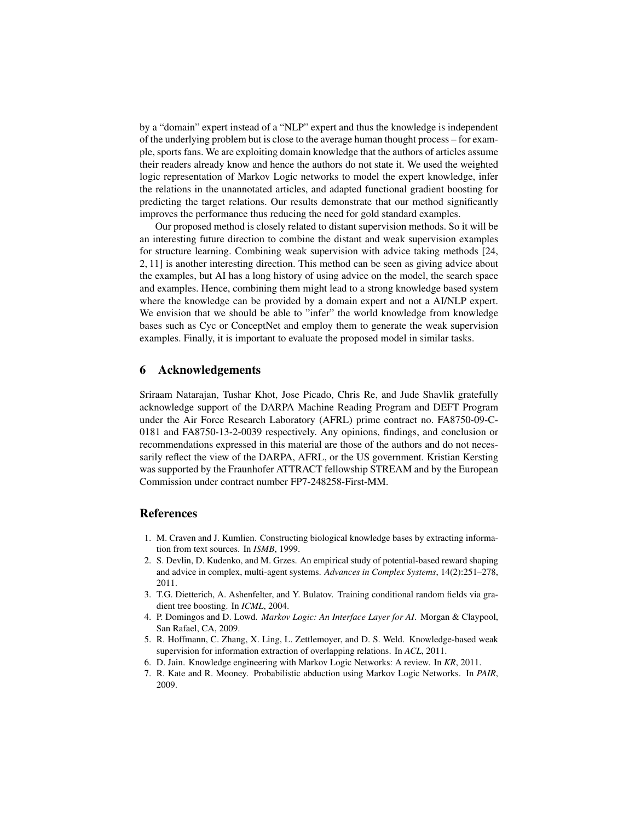by a "domain" expert instead of a "NLP" expert and thus the knowledge is independent of the underlying problem but is close to the average human thought process – for example, sports fans. We are exploiting domain knowledge that the authors of articles assume their readers already know and hence the authors do not state it. We used the weighted logic representation of Markov Logic networks to model the expert knowledge, infer the relations in the unannotated articles, and adapted functional gradient boosting for predicting the target relations. Our results demonstrate that our method significantly improves the performance thus reducing the need for gold standard examples.

Our proposed method is closely related to distant supervision methods. So it will be an interesting future direction to combine the distant and weak supervision examples for structure learning. Combining weak supervision with advice taking methods [24, 2, 11] is another interesting direction. This method can be seen as giving advice about the examples, but AI has a long history of using advice on the model, the search space and examples. Hence, combining them might lead to a strong knowledge based system where the knowledge can be provided by a domain expert and not a AI/NLP expert. We envision that we should be able to "infer" the world knowledge from knowledge bases such as Cyc or ConceptNet and employ them to generate the weak supervision examples. Finally, it is important to evaluate the proposed model in similar tasks.

## 6 Acknowledgements

Sriraam Natarajan, Tushar Khot, Jose Picado, Chris Re, and Jude Shavlik gratefully acknowledge support of the DARPA Machine Reading Program and DEFT Program under the Air Force Research Laboratory (AFRL) prime contract no. FA8750-09-C-0181 and FA8750-13-2-0039 respectively. Any opinions, findings, and conclusion or recommendations expressed in this material are those of the authors and do not necessarily reflect the view of the DARPA, AFRL, or the US government. Kristian Kersting was supported by the Fraunhofer ATTRACT fellowship STREAM and by the European Commission under contract number FP7-248258-First-MM.

### References

- 1. M. Craven and J. Kumlien. Constructing biological knowledge bases by extracting information from text sources. In *ISMB*, 1999.
- 2. S. Devlin, D. Kudenko, and M. Grzes. An empirical study of potential-based reward shaping and advice in complex, multi-agent systems. *Advances in Complex Systems*, 14(2):251–278, 2011.
- 3. T.G. Dietterich, A. Ashenfelter, and Y. Bulatov. Training conditional random fields via gradient tree boosting. In *ICML*, 2004.
- 4. P. Domingos and D. Lowd. *Markov Logic: An Interface Layer for AI*. Morgan & Claypool, San Rafael, CA, 2009.
- 5. R. Hoffmann, C. Zhang, X. Ling, L. Zettlemoyer, and D. S. Weld. Knowledge-based weak supervision for information extraction of overlapping relations. In *ACL*, 2011.
- 6. D. Jain. Knowledge engineering with Markov Logic Networks: A review. In *KR*, 2011.
- 7. R. Kate and R. Mooney. Probabilistic abduction using Markov Logic Networks. In *PAIR*, 2009.